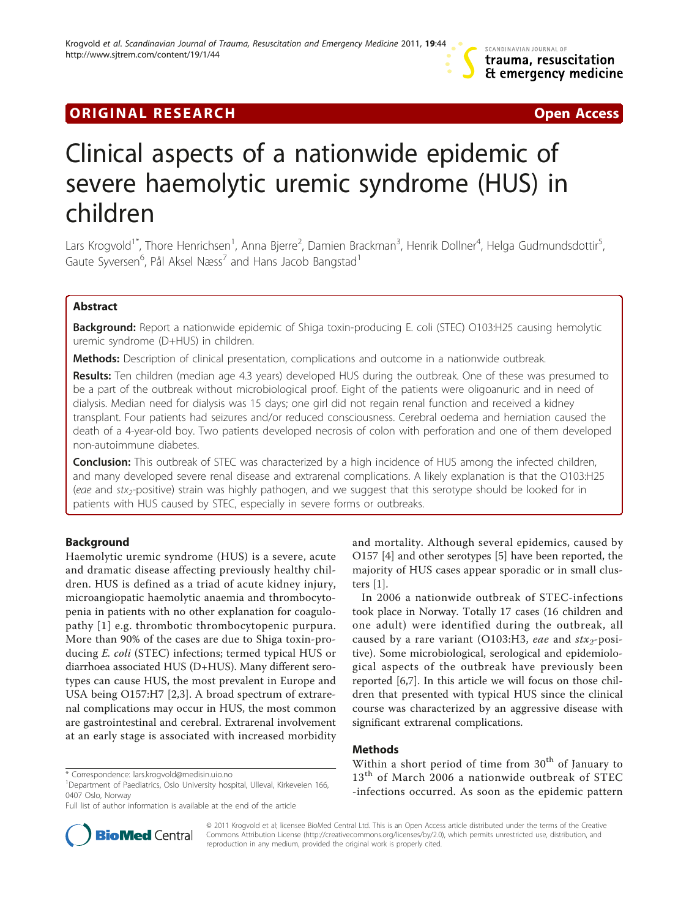## **ORIGINAL RESEARCH CONSUMING ACCESS**

# Clinical aspects of a nationwide epidemic of severe haemolytic uremic syndrome (HUS) in children

Lars Krogvold<sup>1\*</sup>, Thore Henrichsen<sup>1</sup>, Anna Bjerre<sup>2</sup>, Damien Brackman<sup>3</sup>, Henrik Dollner<sup>4</sup>, Helga Gudmundsdottir<sup>5</sup> , Gaute Syversen $^6$ , Pål Aksel Næss $^7$  and Hans Jacob Bangstad $^1$ 

## Abstract

**Background:** Report a nationwide epidemic of Shiga toxin-producing E. coli (STEC) O103:H25 causing hemolytic uremic syndrome (D+HUS) in children.

Methods: Description of clinical presentation, complications and outcome in a nationwide outbreak.

Results: Ten children (median age 4.3 years) developed HUS during the outbreak. One of these was presumed to be a part of the outbreak without microbiological proof. Eight of the patients were oligoanuric and in need of dialysis. Median need for dialysis was 15 days; one girl did not regain renal function and received a kidney transplant. Four patients had seizures and/or reduced consciousness. Cerebral oedema and herniation caused the death of a 4-year-old boy. Two patients developed necrosis of colon with perforation and one of them developed non-autoimmune diabetes.

Conclusion: This outbreak of STEC was characterized by a high incidence of HUS among the infected children, and many developed severe renal disease and extrarenal complications. A likely explanation is that the O103:H25 (eae and stx<sub>2</sub>-positive) strain was highly pathogen, and we suggest that this serotype should be looked for in patients with HUS caused by STEC, especially in severe forms or outbreaks.

## Background

Haemolytic uremic syndrome (HUS) is a severe, acute and dramatic disease affecting previously healthy children. HUS is defined as a triad of acute kidney injury, microangiopatic haemolytic anaemia and thrombocytopenia in patients with no other explanation for coagulopathy [[1\]](#page-4-0) e.g. thrombotic thrombocytopenic purpura. More than 90% of the cases are due to Shiga toxin-producing E. coli (STEC) infections; termed typical HUS or diarrhoea associated HUS (D+HUS). Many different serotypes can cause HUS, the most prevalent in Europe and USA being O157:H7 [[2,3](#page-4-0)]. A broad spectrum of extrarenal complications may occur in HUS, the most common are gastrointestinal and cerebral. Extrarenal involvement at an early stage is associated with increased morbidity



In 2006 a nationwide outbreak of STEC-infections took place in Norway. Totally 17 cases (16 children and one adult) were identified during the outbreak, all caused by a rare variant (O103:H3, eae and  $\frac{str_2-posi}{r}$ tive). Some microbiological, serological and epidemiological aspects of the outbreak have previously been reported [[6,7\]](#page-4-0). In this article we will focus on those children that presented with typical HUS since the clinical course was characterized by an aggressive disease with significant extrarenal complications.

## Methods

Within a short period of time from  $30<sup>th</sup>$  of January to 13<sup>th</sup> of March 2006 a nationwide outbreak of STEC -infections occurred. As soon as the epidemic pattern



© 2011 Krogvold et al; licensee BioMed Central Ltd. This is an Open Access article distributed under the terms of the Creative Commons Attribution License [\(http://creativecommons.org/licenses/by/2.0](http://creativecommons.org/licenses/by/2.0)), which permits unrestricted use, distribution, and reproduction in any medium, provided the original work is properly cited.

<sup>\*</sup> Correspondence: [lars.krogvold@medisin.uio.no](mailto:lars.krogvold@medisin.uio.no)

<sup>&</sup>lt;sup>1</sup>Department of Paediatrics, Oslo University hospital, Ulleval, Kirkeveien 166, 0407 Oslo, Norway

Full list of author information is available at the end of the article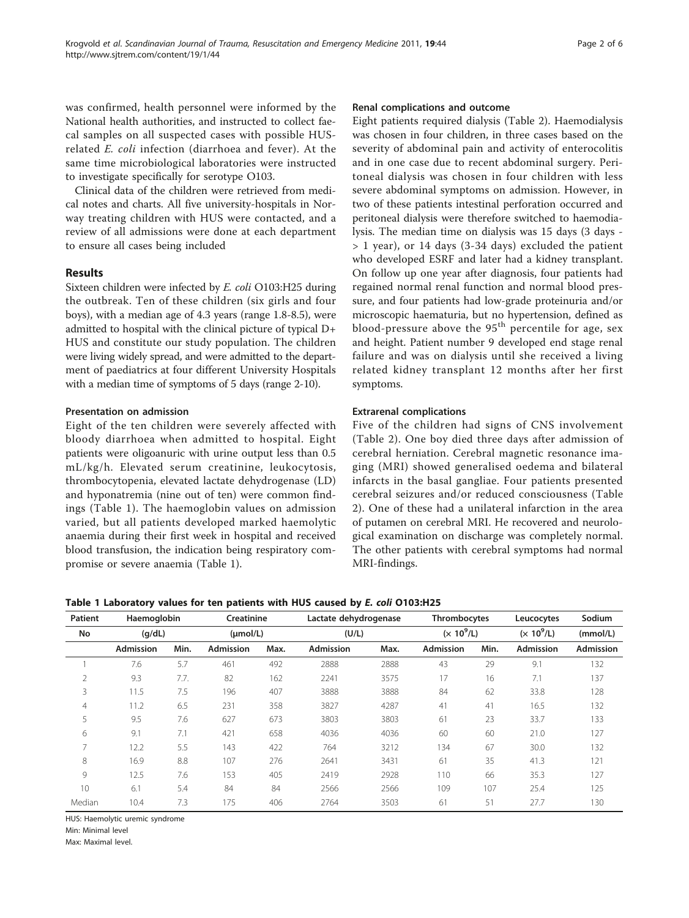<span id="page-1-0"></span>was confirmed, health personnel were informed by the National health authorities, and instructed to collect faecal samples on all suspected cases with possible HUSrelated E. coli infection (diarrhoea and fever). At the same time microbiological laboratories were instructed to investigate specifically for serotype O103.

Clinical data of the children were retrieved from medical notes and charts. All five university-hospitals in Norway treating children with HUS were contacted, and a review of all admissions were done at each department to ensure all cases being included

#### Results

Sixteen children were infected by E. coli O103:H25 during the outbreak. Ten of these children (six girls and four boys), with a median age of 4.3 years (range 1.8-8.5), were admitted to hospital with the clinical picture of typical D+ HUS and constitute our study population. The children were living widely spread, and were admitted to the department of paediatrics at four different University Hospitals with a median time of symptoms of 5 days (range 2-10).

#### Presentation on admission

Eight of the ten children were severely affected with bloody diarrhoea when admitted to hospital. Eight patients were oligoanuric with urine output less than 0.5 mL/kg/h. Elevated serum creatinine, leukocytosis, thrombocytopenia, elevated lactate dehydrogenase (LD) and hyponatremia (nine out of ten) were common findings (Table 1). The haemoglobin values on admission varied, but all patients developed marked haemolytic anaemia during their first week in hospital and received blood transfusion, the indication being respiratory compromise or severe anaemia (Table 1).

#### Renal complications and outcome

Eight patients required dialysis (Table [2\)](#page-2-0). Haemodialysis was chosen in four children, in three cases based on the severity of abdominal pain and activity of enterocolitis and in one case due to recent abdominal surgery. Peritoneal dialysis was chosen in four children with less severe abdominal symptoms on admission. However, in two of these patients intestinal perforation occurred and peritoneal dialysis were therefore switched to haemodialysis. The median time on dialysis was 15 days (3 days - > 1 year), or 14 days (3-34 days) excluded the patient who developed ESRF and later had a kidney transplant. On follow up one year after diagnosis, four patients had regained normal renal function and normal blood pressure, and four patients had low-grade proteinuria and/or microscopic haematuria, but no hypertension, defined as blood-pressure above the  $95<sup>th</sup>$  percentile for age, sex and height. Patient number 9 developed end stage renal failure and was on dialysis until she received a living related kidney transplant 12 months after her first symptoms.

## Extrarenal complications

Five of the children had signs of CNS involvement (Table [2\)](#page-2-0). One boy died three days after admission of cerebral herniation. Cerebral magnetic resonance imaging (MRI) showed generalised oedema and bilateral infarcts in the basal gangliae. Four patients presented cerebral seizures and/or reduced consciousness (Table [2\)](#page-2-0). One of these had a unilateral infarction in the area of putamen on cerebral MRI. He recovered and neurological examination on discharge was completely normal. The other patients with cerebral symptoms had normal MRI-findings.

Table 1 Laboratory values for ten patients with HUS caused by E. coli O103:H25

| Patient        | Haemoglobin<br>(q/dL) |      | Creatinine<br>$(\mu mol/L)$ |      | Lactate dehydrogenase<br>(U/L) |      | Thrombocytes<br>$(x 10^9/L)$ |      | Leucocytes<br>$(x 10^9/L)$ | Sodium<br>(mmol/L) |
|----------------|-----------------------|------|-----------------------------|------|--------------------------------|------|------------------------------|------|----------------------------|--------------------|
| No             |                       |      |                             |      |                                |      |                              |      |                            |                    |
|                | <b>Admission</b>      | Min. | Admission                   | Max. | <b>Admission</b>               | Max. | Admission                    | Min. | <b>Admission</b>           | <b>Admission</b>   |
|                | 7.6                   | 5.7  | 461                         | 492  | 2888                           | 2888 | 43                           | 29   | 9.1                        | 132                |
| $\overline{2}$ | 9.3                   | 7.7. | 82                          | 162  | 2241                           | 3575 | 17                           | 16   | 7.1                        | 137                |
| 3              | 11.5                  | 7.5  | 196                         | 407  | 3888                           | 3888 | 84                           | 62   | 33.8                       | 128                |
| $\overline{4}$ | 11.2                  | 6.5  | 231                         | 358  | 3827                           | 4287 | 41                           | 41   | 16.5                       | 132                |
| 5              | 9.5                   | 7.6  | 627                         | 673  | 3803                           | 3803 | 61                           | 23   | 33.7                       | 133                |
| 6              | 9.1                   | 7.1  | 421                         | 658  | 4036                           | 4036 | 60                           | 60   | 21.0                       | 127                |
| 7              | 12.2                  | 5.5  | 143                         | 422  | 764                            | 3212 | 134                          | 67   | 30.0                       | 132                |
| 8              | 16.9                  | 8.8  | 107                         | 276  | 2641                           | 3431 | 61                           | 35   | 41.3                       | 121                |
| 9              | 12.5                  | 7.6  | 153                         | 405  | 2419                           | 2928 | 110                          | 66   | 35.3                       | 127                |
| 10             | 6.1                   | 5.4  | 84                          | 84   | 2566                           | 2566 | 109                          | 107  | 25.4                       | 125                |
| Median         | 10.4                  | 7.3  | 175                         | 406  | 2764                           | 3503 | 61                           | 51   | 27.7                       | 130                |

HUS: Haemolytic uremic syndrome

Min: Minimal level

Max: Maximal level.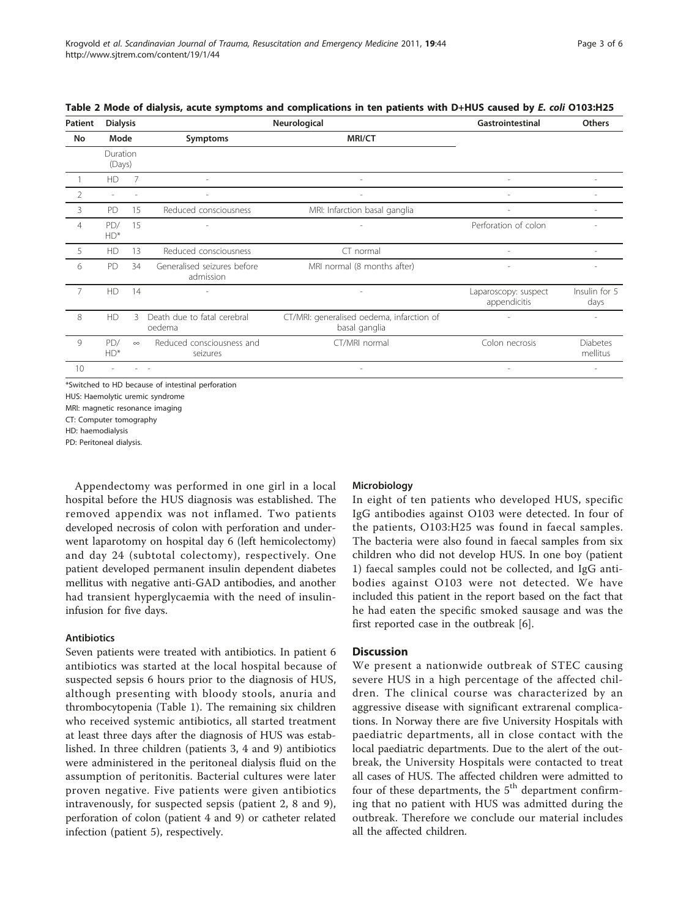| Patient        | <b>Dialysis</b>    |          |                                          | Gastrointestinal                                           | <b>Others</b>                        |                             |
|----------------|--------------------|----------|------------------------------------------|------------------------------------------------------------|--------------------------------------|-----------------------------|
| No             | Mode               |          | Symptoms                                 | <b>MRI/CT</b>                                              |                                      |                             |
|                | Duration<br>(Days) |          |                                          |                                                            |                                      |                             |
|                | HD                 | 7        |                                          |                                                            |                                      |                             |
| $\overline{2}$ |                    |          |                                          |                                                            |                                      |                             |
| 3              | PD                 | 15       | Reduced consciousness                    | MRI: Infarction basal ganglia                              |                                      | $\overline{a}$              |
| $\overline{4}$ | PD/<br>$HD^*$      | 15       |                                          |                                                            | Perforation of colon                 |                             |
| 5              | HD                 | 13       | Reduced consciousness                    | $CT$ normal                                                |                                      |                             |
| 6              | PD                 | 34       | Generalised seizures before<br>admission | MRI normal (8 months after)                                |                                      |                             |
| $\overline{7}$ | HD                 | 14       |                                          |                                                            | Laparoscopy: suspect<br>appendicitis | Insulin for 5<br>days       |
| 8              | HD                 | ζ        | Death due to fatal cerebral<br>oedema    | CT/MRI: generalised oedema, infarction of<br>basal ganglia |                                      |                             |
| 9              | PD/<br>$HD^*$      | $\infty$ | Reduced consciousness and<br>seizures    | CT/MRI normal                                              | Colon necrosis                       | <b>Diabetes</b><br>mellitus |
| 10             |                    |          |                                          |                                                            | $\overline{\phantom{a}}$             | $\overline{a}$              |

<span id="page-2-0"></span>Table 2 Mode of dialysis, acute symptoms and complications in ten patients with D+HUS caused by E. coli O103:H25

Switched to HD because of intestinal perforation

HUS: Haemolytic uremic syndrome MRI: magnetic resonance imaging CT: Computer tomography

HD: haemodialysis

PD: Peritoneal dialysis.

Appendectomy was performed in one girl in a local hospital before the HUS diagnosis was established. The removed appendix was not inflamed. Two patients developed necrosis of colon with perforation and underwent laparotomy on hospital day 6 (left hemicolectomy) and day 24 (subtotal colectomy), respectively. One patient developed permanent insulin dependent diabetes mellitus with negative anti-GAD antibodies, and another had transient hyperglycaemia with the need of insulininfusion for five days.

## Antibiotics

Seven patients were treated with antibiotics. In patient 6 antibiotics was started at the local hospital because of suspected sepsis 6 hours prior to the diagnosis of HUS, although presenting with bloody stools, anuria and thrombocytopenia (Table [1](#page-1-0)). The remaining six children who received systemic antibiotics, all started treatment at least three days after the diagnosis of HUS was established. In three children (patients 3, 4 and 9) antibiotics were administered in the peritoneal dialysis fluid on the assumption of peritonitis. Bacterial cultures were later proven negative. Five patients were given antibiotics intravenously, for suspected sepsis (patient 2, 8 and 9), perforation of colon (patient 4 and 9) or catheter related infection (patient 5), respectively.

## Microbiology

In eight of ten patients who developed HUS, specific IgG antibodies against O103 were detected. In four of the patients, O103:H25 was found in faecal samples. The bacteria were also found in faecal samples from six children who did not develop HUS. In one boy (patient 1) faecal samples could not be collected, and IgG antibodies against O103 were not detected. We have included this patient in the report based on the fact that he had eaten the specific smoked sausage and was the first reported case in the outbreak [[6](#page-4-0)].

## **Discussion**

We present a nationwide outbreak of STEC causing severe HUS in a high percentage of the affected children. The clinical course was characterized by an aggressive disease with significant extrarenal complications. In Norway there are five University Hospitals with paediatric departments, all in close contact with the local paediatric departments. Due to the alert of the outbreak, the University Hospitals were contacted to treat all cases of HUS. The affected children were admitted to four of these departments, the  $5<sup>th</sup>$  department confirming that no patient with HUS was admitted during the outbreak. Therefore we conclude our material includes all the affected children.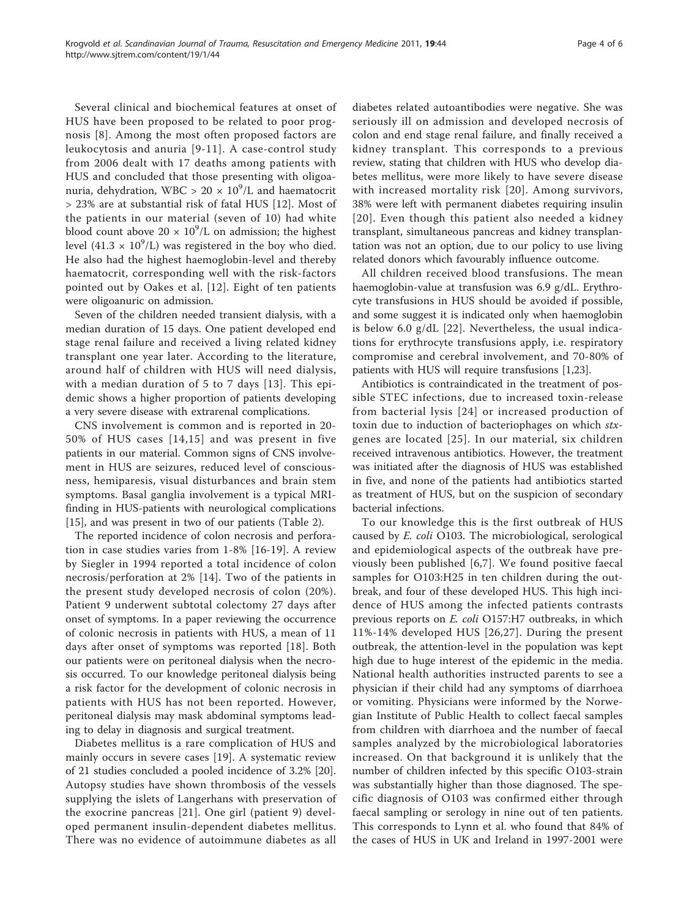Several clinical and biochemical features at onset of HUS have been proposed to be related to poor prognosis [\[8\]](#page-4-0). Among the most often proposed factors are leukocytosis and anuria [[9](#page-4-0)-[11\]](#page-4-0). A case-control study from 2006 dealt with 17 deaths among patients with HUS and concluded that those presenting with oligoanuria, dehydration, WBC > 20  $\times$   $10^9$ /L and haematocrit > 23% are at substantial risk of fatal HUS [[12\]](#page-4-0). Most of the patients in our material (seven of 10) had white blood count above  $20 \times 10^9$ /L on admission; the highest level (41.3  $\times$  10<sup>9</sup>/L) was registered in the boy who died. He also had the highest haemoglobin-level and thereby haematocrit, corresponding well with the risk-factors pointed out by Oakes et al. [[12](#page-4-0)]. Eight of ten patients were oligoanuric on admission.

Seven of the children needed transient dialysis, with a median duration of 15 days. One patient developed end stage renal failure and received a living related kidney transplant one year later. According to the literature, around half of children with HUS will need dialysis, with a median duration of 5 to 7 days [\[13\]](#page-4-0). This epidemic shows a higher proportion of patients developing a very severe disease with extrarenal complications.

CNS involvement is common and is reported in 20- 50% of HUS cases [[14](#page-4-0),[15\]](#page-4-0) and was present in five patients in our material. Common signs of CNS involvement in HUS are seizures, reduced level of consciousness, hemiparesis, visual disturbances and brain stem symptoms. Basal ganglia involvement is a typical MRIfinding in HUS-patients with neurological complications [[15\]](#page-4-0), and was present in two of our patients (Table [2](#page-2-0)).

The reported incidence of colon necrosis and perforation in case studies varies from 1-8% [\[16](#page-4-0)-[19](#page-4-0)]. A review by Siegler in 1994 reported a total incidence of colon necrosis/perforation at 2% [[14\]](#page-4-0). Two of the patients in the present study developed necrosis of colon (20%). Patient 9 underwent subtotal colectomy 27 days after onset of symptoms. In a paper reviewing the occurrence of colonic necrosis in patients with HUS, a mean of 11 days after onset of symptoms was reported [[18](#page-4-0)]. Both our patients were on peritoneal dialysis when the necrosis occurred. To our knowledge peritoneal dialysis being a risk factor for the development of colonic necrosis in patients with HUS has not been reported. However, peritoneal dialysis may mask abdominal symptoms leading to delay in diagnosis and surgical treatment.

Diabetes mellitus is a rare complication of HUS and mainly occurs in severe cases [[19\]](#page-4-0). A systematic review of 21 studies concluded a pooled incidence of 3.2% [\[20](#page-5-0)]. Autopsy studies have shown thrombosis of the vessels supplying the islets of Langerhans with preservation of the exocrine pancreas [[21\]](#page-5-0). One girl (patient 9) developed permanent insulin-dependent diabetes mellitus. There was no evidence of autoimmune diabetes as all diabetes related autoantibodies were negative. She was seriously ill on admission and developed necrosis of colon and end stage renal failure, and finally received a kidney transplant. This corresponds to a previous review, stating that children with HUS who develop diabetes mellitus, were more likely to have severe disease with increased mortality risk [[20\]](#page-5-0). Among survivors, 38% were left with permanent diabetes requiring insulin [[20\]](#page-5-0). Even though this patient also needed a kidney transplant, simultaneous pancreas and kidney transplantation was not an option, due to our policy to use living related donors which favourably influence outcome.

All children received blood transfusions. The mean haemoglobin-value at transfusion was 6.9 g/dL. Erythrocyte transfusions in HUS should be avoided if possible, and some suggest it is indicated only when haemoglobin is below 6.0 g/dL [\[22\]](#page-5-0). Nevertheless, the usual indications for erythrocyte transfusions apply, i.e. respiratory compromise and cerebral involvement, and 70-80% of patients with HUS will require transfusions [\[1](#page-4-0)[,23](#page-5-0)].

Antibiotics is contraindicated in the treatment of possible STEC infections, due to increased toxin-release from bacterial lysis [[24\]](#page-5-0) or increased production of toxin due to induction of bacteriophages on which *stx*genes are located [[25\]](#page-5-0). In our material, six children received intravenous antibiotics. However, the treatment was initiated after the diagnosis of HUS was established in five, and none of the patients had antibiotics started as treatment of HUS, but on the suspicion of secondary bacterial infections.

To our knowledge this is the first outbreak of HUS caused by E. coli O103. The microbiological, serological and epidemiological aspects of the outbreak have previously been published [[6,7](#page-4-0)]. We found positive faecal samples for O103:H25 in ten children during the outbreak, and four of these developed HUS. This high incidence of HUS among the infected patients contrasts previous reports on E. coli O157:H7 outbreaks, in which 11%-14% developed HUS [\[26,27\]](#page-5-0). During the present outbreak, the attention-level in the population was kept high due to huge interest of the epidemic in the media. National health authorities instructed parents to see a physician if their child had any symptoms of diarrhoea or vomiting. Physicians were informed by the Norwegian Institute of Public Health to collect faecal samples from children with diarrhoea and the number of faecal samples analyzed by the microbiological laboratories increased. On that background it is unlikely that the number of children infected by this specific O103-strain was substantially higher than those diagnosed. The specific diagnosis of O103 was confirmed either through faecal sampling or serology in nine out of ten patients. This corresponds to Lynn et al. who found that 84% of the cases of HUS in UK and Ireland in 1997-2001 were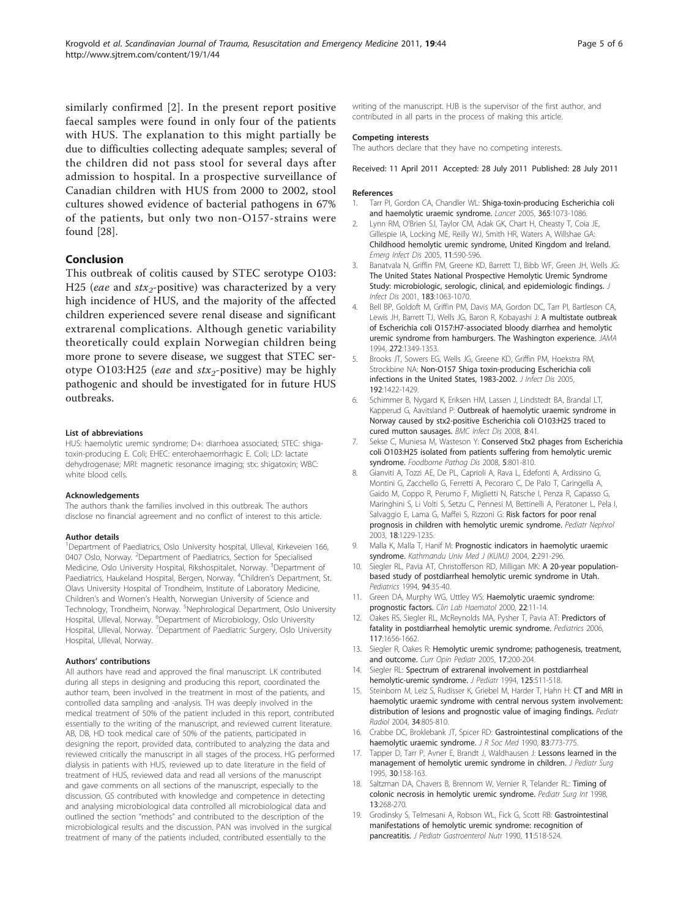<span id="page-4-0"></span>similarly confirmed [2]. In the present report positive faecal samples were found in only four of the patients with HUS. The explanation to this might partially be due to difficulties collecting adequate samples; several of the children did not pass stool for several days after admission to hospital. In a prospective surveillance of Canadian children with HUS from 2000 to 2002, stool cultures showed evidence of bacterial pathogens in 67% of the patients, but only two non-O157-strains were found [[28\]](#page-5-0).

#### Conclusion

This outbreak of colitis caused by STEC serotype O103: H25 (eae and  $\text{str}_2$ -positive) was characterized by a very high incidence of HUS, and the majority of the affected children experienced severe renal disease and significant extrarenal complications. Although genetic variability theoretically could explain Norwegian children being more prone to severe disease, we suggest that STEC serotype O103:H25 (eae and  $\text{str}_2$ -positive) may be highly pathogenic and should be investigated for in future HUS outbreaks.

#### List of abbreviations

HUS: haemolytic uremic syndrome; D+: diarrhoea associated; STEC: shigatoxin-producing E. Coli; EHEC: enterohaemorrhagic E. Coli; LD: lactate dehydrogenase; MRI: magnetic resonance imaging; stx: shigatoxin; WBC: white blood cells.

#### Acknowledgements

The authors thank the families involved in this outbreak. The authors disclose no financial agreement and no conflict of interest to this article.

#### Author details

<sup>1</sup>Department of Paediatrics, Oslo University hospital, Ulleval, Kirkeveien 166, 0407 Oslo, Norway. <sup>2</sup>Department of Paediatrics, Section for Specialised Medicine, Oslo University Hospital, Rikshospitalet, Norway. <sup>3</sup>Department of Paediatrics, Haukeland Hospital, Bergen, Norway. <sup>4</sup>Children's Department, St. Olavs University Hospital of Trondheim, Institute of Laboratory Medicine, Children's and Women's Health, Norwegian University of Science and Technology, Trondheim, Norway. <sup>5</sup>Nephrological Department, Oslo University Hospital, Ulleval, Norway. <sup>6</sup>Department of Microbiology, Oslo University Hospital, Ulleval, Norway. <sup>7</sup>Department of Paediatric Surgery, Oslo University Hospital, Ulleval, Norway.

#### Authors' contributions

All authors have read and approved the final manuscript. LK contributed during all steps in designing and producing this report, coordinated the author team, been involved in the treatment in most of the patients, and controlled data sampling and -analysis. TH was deeply involved in the medical treatment of 50% of the patient included in this report, contributed essentially to the writing of the manuscript, and reviewed current literature. AB, DB, HD took medical care of 50% of the patients, participated in designing the report, provided data, contributed to analyzing the data and reviewed critically the manuscript in all stages of the process. HG performed dialysis in patients with HUS, reviewed up to date literature in the field of treatment of HUS, reviewed data and read all versions of the manuscript and gave comments on all sections of the manuscript, especially to the discussion. GS contributed with knowledge and competence in detecting and analysing microbiological data controlled all microbiological data and outlined the section "methods" and contributed to the description of the microbiological results and the discussion. PAN was involved in the surgical treatment of many of the patients included, contributed essentially to the

writing of the manuscript. HJB is the supervisor of the first author, and contributed in all parts in the process of making this article.

#### Competing interests

The authors declare that they have no competing interests.

Received: 11 April 2011 Accepted: 28 July 2011 Published: 28 July 2011

#### References

- 1. Tarr PI, Gordon CA, Chandler WL: [Shiga-toxin-producing Escherichia coli](http://www.ncbi.nlm.nih.gov/pubmed/15781103?dopt=Abstract) [and haemolytic uraemic syndrome.](http://www.ncbi.nlm.nih.gov/pubmed/15781103?dopt=Abstract) Lancet 2005, 365:1073-1086.
- Lynn RM, O'Brien SJ, Taylor CM, Adak GK, Chart H, Cheasty T, Coia JE, Gillespie IA, Locking ME, Reilly WJ, Smith HR, Waters A, Willshae GA: [Childhood hemolytic uremic syndrome, United Kingdom and Ireland.](http://www.ncbi.nlm.nih.gov/pubmed/15829199?dopt=Abstract) Emerg Infect Dis 2005, 11:590-596.
- 3. Banatvala N, Griffin PM, Greene KD, Barrett TJ, Bibb WF, Green JH, Wells JG: [The United States National Prospective Hemolytic Uremic Syndrome](http://www.ncbi.nlm.nih.gov/pubmed/11237831?dopt=Abstract) [Study: microbiologic, serologic, clinical, and epidemiologic findings.](http://www.ncbi.nlm.nih.gov/pubmed/11237831?dopt=Abstract) J Infect Dis 2001, 183:1063-1070.
- 4. Bell BP, Goldoft M, Griffin PM, Davis MA, Gordon DC, Tarr PI, Bartleson CA, Lewis JH, Barrett TJ, Wells JG, Baron R, Kobayashi J: [A multistate outbreak](http://www.ncbi.nlm.nih.gov/pubmed/7933395?dopt=Abstract) [of Escherichia coli O157:H7-associated bloody diarrhea and hemolytic](http://www.ncbi.nlm.nih.gov/pubmed/7933395?dopt=Abstract) [uremic syndrome from hamburgers. The Washington experience.](http://www.ncbi.nlm.nih.gov/pubmed/7933395?dopt=Abstract) JAMA 1994, 272:1349-1353.
- 5. Brooks JT, Sowers EG, Wells JG, Greene KD, Griffin PM, Hoekstra RM, Strockbine NA: [Non-O157 Shiga toxin-producing Escherichia coli](http://www.ncbi.nlm.nih.gov/pubmed/16170761?dopt=Abstract) [infections in the United States, 1983-2002.](http://www.ncbi.nlm.nih.gov/pubmed/16170761?dopt=Abstract) J Infect Dis 2005, 192:1422-1429.
- 6. Schimmer B, Nygard K, Eriksen HM, Lassen J, Lindstedt BA, Brandal LT, Kapperud G, Aavitsland P: [Outbreak of haemolytic uraemic syndrome in](http://www.ncbi.nlm.nih.gov/pubmed/18387178?dopt=Abstract) [Norway caused by stx2-positive Escherichia coli O103:H25 traced to](http://www.ncbi.nlm.nih.gov/pubmed/18387178?dopt=Abstract) [cured mutton sausages.](http://www.ncbi.nlm.nih.gov/pubmed/18387178?dopt=Abstract) BMC Infect Dis 2008, 8:41.
- 7. Sekse C, Muniesa M, Wasteson Y: [Conserved Stx2 phages from Escherichia](http://www.ncbi.nlm.nih.gov/pubmed/19014273?dopt=Abstract) [coli O103:H25 isolated from patients suffering from hemolytic uremic](http://www.ncbi.nlm.nih.gov/pubmed/19014273?dopt=Abstract) [syndrome.](http://www.ncbi.nlm.nih.gov/pubmed/19014273?dopt=Abstract) Foodborne Pathog Dis 2008, 5:801-810.
- 8. Gianviti A, Tozzi AE, De PL, Caprioli A, Rava L, Edefonti A, Ardissino G, Montini G, Zacchello G, Ferretti A, Pecoraro C, De Palo T, Caringella A, Gaido M, Coppo R, Perumo F, Miglietti N, Ratsche I, Penza R, Capasso G, Maringhini S, Li Volti S, Setzu C, Pennesi M, Bettinelli A, Peratoner L, Pela I, Salvaggio E, Lama G, Maffei S, Rizzoni G: [Risk factors for poor renal](http://www.ncbi.nlm.nih.gov/pubmed/14593522?dopt=Abstract) [prognosis in children with hemolytic uremic syndrome.](http://www.ncbi.nlm.nih.gov/pubmed/14593522?dopt=Abstract) Pediatr Nephrol 2003, 18:1229-1235.
- 9. Malla K, Malla T, Hanif M: Prognostic indicators in haemolytic uraemic syndrome. Kathmandu Univ Med J (KUMJ) 2004, 2:291-296.
- 10. Siegler RL, Pavia AT, Christofferson RD, Milligan MK: [A 20-year population](http://www.ncbi.nlm.nih.gov/pubmed/8008534?dopt=Abstract)[based study of postdiarrheal hemolytic uremic syndrome in Utah.](http://www.ncbi.nlm.nih.gov/pubmed/8008534?dopt=Abstract) Pediatrics 1994, 94:35-40.
- 11. Green DA, Murphy WG, Uttley WS: [Haemolytic uraemic syndrome:](http://www.ncbi.nlm.nih.gov/pubmed/10762298?dopt=Abstract) [prognostic factors.](http://www.ncbi.nlm.nih.gov/pubmed/10762298?dopt=Abstract) Clin Lab Haematol 2000, 22:11-14.
- 12. Oakes RS, Siegler RL, McReynolds MA, Pysher T, Pavia AT: [Predictors of](http://www.ncbi.nlm.nih.gov/pubmed/16651320?dopt=Abstract) [fatality in postdiarrheal hemolytic uremic syndrome.](http://www.ncbi.nlm.nih.gov/pubmed/16651320?dopt=Abstract) Pediatrics 2006, 117:1656-1662.
- 13. Siegler R, Oakes R: [Hemolytic uremic syndrome; pathogenesis, treatment,](http://www.ncbi.nlm.nih.gov/pubmed/15800412?dopt=Abstract) [and outcome.](http://www.ncbi.nlm.nih.gov/pubmed/15800412?dopt=Abstract) Curr Opin Pediatr 2005, 17:200-204.
- 14. Siegler RL: [Spectrum of extrarenal involvement in postdiarrheal](http://www.ncbi.nlm.nih.gov/pubmed/7931868?dopt=Abstract) [hemolytic-uremic syndrome.](http://www.ncbi.nlm.nih.gov/pubmed/7931868?dopt=Abstract) J Pediatr 1994, 125:511-518.
- 15. Steinborn M, Leiz S, Rudisser K, Griebel M, Harder T, Hahn H: [CT and MRI in](http://www.ncbi.nlm.nih.gov/pubmed/15378218?dopt=Abstract) [haemolytic uraemic syndrome with central nervous system involvement:](http://www.ncbi.nlm.nih.gov/pubmed/15378218?dopt=Abstract) [distribution of lesions and prognostic value of imaging findings.](http://www.ncbi.nlm.nih.gov/pubmed/15378218?dopt=Abstract) Pediatr Radiol 2004, 34:805-810.
- 16. Crabbe DC, Broklebank JT, Spicer RD: [Gastrointestinal complications of the](http://www.ncbi.nlm.nih.gov/pubmed/2269961?dopt=Abstract) [haemolytic uraemic syndrome.](http://www.ncbi.nlm.nih.gov/pubmed/2269961?dopt=Abstract) J R Soc Med 1990, 83:773-775.
- 17. Tapper D, Tarr P, Avner E, Brandt J, Waldhausen J: [Lessons learned in the](http://www.ncbi.nlm.nih.gov/pubmed/7738732?dopt=Abstract) [management of hemolytic uremic syndrome in children.](http://www.ncbi.nlm.nih.gov/pubmed/7738732?dopt=Abstract) J Pediatr Surg 1995, 30:158-163.
- 18. Saltzman DA, Chavers B, Brennom W, Vernier R, Telander RL: [Timing of](http://www.ncbi.nlm.nih.gov/pubmed/9553186?dopt=Abstract) [colonic necrosis in hemolytic uremic syndrome.](http://www.ncbi.nlm.nih.gov/pubmed/9553186?dopt=Abstract) Pediatr Surg Int 1998, 13:268-270.
- 19. Grodinsky S, Telmesani A, Robson WL, Fick G, Scott RB: [Gastrointestinal](http://www.ncbi.nlm.nih.gov/pubmed/1702151?dopt=Abstract) [manifestations of hemolytic uremic syndrome: recognition of](http://www.ncbi.nlm.nih.gov/pubmed/1702151?dopt=Abstract) [pancreatitis.](http://www.ncbi.nlm.nih.gov/pubmed/1702151?dopt=Abstract) J Pediatr Gastroenterol Nutr 1990, 11:518-524.